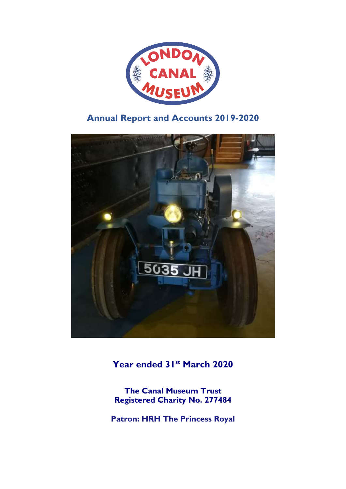

# **Annual Report and Accounts 2019-2020**



**Year ended 31st March 2020**

**The Canal Museum Trust Registered Charity No. 277484**

**Patron: HRH The Princess Royal**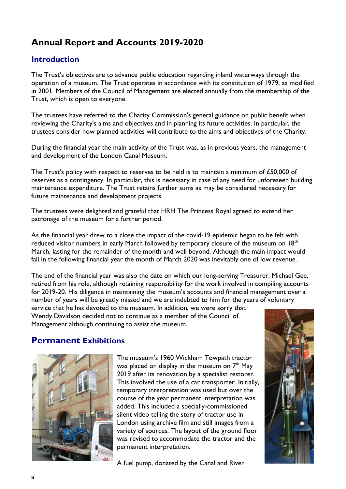# **Annual Report and Accounts 2019-2020**

## **Introduction**

The Trust's objectives are to advance public education regarding inland waterways through the operation of a museum. The Trust operates in accordance with its constitution of 1979, as modified in 2001. Members of the Council of Management are elected annually from the membership of the Trust, which is open to everyone.

The trustees have referred to the Charity Commission's general guidance on public benefit when reviewing the Charity's aims and objectives and in planning its future activities. In particular, the trustees consider how planned activities will contribute to the aims and objectives of the Charity.

During the financial year the main activity of the Trust was, as in previous years, the management and development of the London Canal Museum.

The Trust's policy with respect to reserves to be held is to maintain a minimum of £50,000 of reserves as a contingency. In particular, this is necessary in case of any need for unforeseen building maintenance expenditure. The Trust retains further sums as may be considered necessary for future maintenance and development projects.

The trustees were delighted and grateful that HRH The Princess Royal agreed to extend her patronage of the museum for a further period.

As the financial year drew to a close the impact of the covid-19 epidemic began to be felt with reduced visitor numbers in early March followed by temporary closure of the museum on  $18<sup>th</sup>$ March, lasting for the remainder of the month and well beyond. Although the main impact would fall in the following financial year the month of March 2020 was inevitably one of low revenue.

The end of the financial year was also the date on which our long-serving Treasurer, Michael Gee, retired from his role, although retaining responsibility for the work involved in compiling accounts for 2019-20. His diligence in maintaining the museum's accounts and financial management over a number of years will be greatly missed and we are indebted to him for the years of voluntary

service that he has devoted to the museum. In addition, we were sorry that Wendy Davidson decided not to continue as a member of the Council of Management although continuing to assist the museum.

## **Permanent Exhibitions**



The museum's 1960 Wickham Towpath tractor was placed on display in the museum on  $7<sup>th</sup>$  May 2019 after its renovation by a specialist restorer. This involved the use of a car transporter. Initially, temporary interpretation was used but over the course of the year permanent interpretation was added. This included a specially-commissioned silent video telling the story of tractor use in London using archive film and still images from a variety of sources. The layout of the ground floor was revised to accommodate the tractor and the permanent interpretation.

A fuel pump, donated by the Canal and River

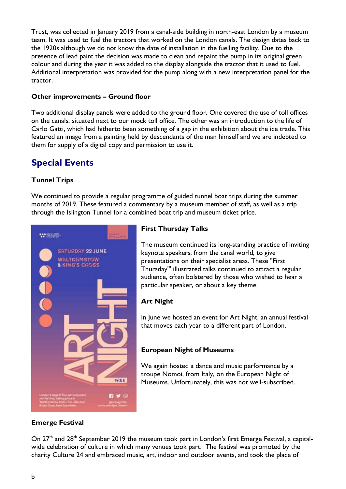Trust, was collected in January 2019 from a canal-side building in north-east London by a museum team. It was used to fuel the tractors that worked on the London canals. The design dates back to the 1920s although we do not know the date of installation in the fuelling facility. Due to the presence of lead paint the decision was made to clean and repaint the pump in its original green colour and during the year it was added to the display alongside the tractor that it used to fuel. Additional interpretation was provided for the pump along with a new interpretation panel for the tractor.

### **Other improvements – Ground floor**

Two additional display panels were added to the ground floor. One covered the use of toll offices on the canals, situated next to our mock toll office. The other was an introduction to the life of Carlo Gatti, which had hitherto been something of a gap in the exhibition about the ice trade. This featured an image from a painting held by descendants of the man himself and we are indebted to them for supply of a digital copy and permission to use it.

# **Special Events**

### **Tunnel Trips**

We continued to provide a regular programme of guided tunnel boat trips during the summer months of 2019. These featured a commentary by a museum member of staff, as well as a trip through the Islington Tunnel for a combined boat trip and museum ticket price.



### **First Thursday Talks**

The museum continued its long-standing practice of inviting keynote speakers, from the canal world, to give presentations on their specialist areas. These "First Thursday'" illustrated talks continued to attract a regular audience, often bolstered by those who wished to hear a particular speaker, or about a key theme.

### **Art Night**

In June we hosted an event for Art Night, an annual festival that moves each year to a different part of London.

### **European Night of Museums**

We again hosted a dance and music performance by a troupe Nomoi, from Italy, on the European Night of Museums. Unfortunately, this was not well-subscribed.

### **Emerge Festival**

On  $27<sup>th</sup>$  and  $28<sup>th</sup>$  September 2019 the museum took part in London's first Emerge Festival, a capitalwide celebration of culture in which many venues took part. The festival was promoted by the charity Culture 24 and embraced music, art, indoor and outdoor events, and took the place of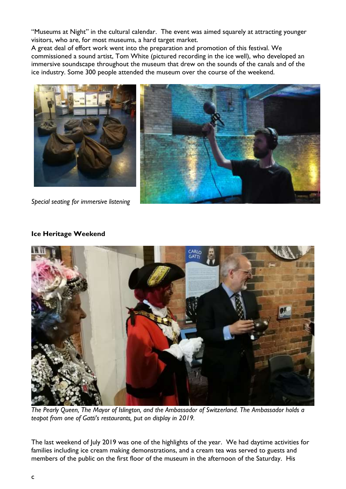"Museums at Night" in the cultural calendar. The event was aimed squarely at attracting younger visitors, who are, for most museums, a hard target market.

A great deal of effort work went into the preparation and promotion of this festival. We commissioned a sound artist, Tom White (pictured recording in the ice well), who developed an immersive soundscape throughout the museum that drew on the sounds of the canals and of the ice industry. Some 300 people attended the museum over the course of the weekend.





*Special seating for immersive listening*

### **Ice Heritage Weekend**



*The Pearly Queen, The Mayor of Islington, and the Ambassador of Switzerland. The Ambassador holds a teapot from one of Gatti's restaurants, put on display in 2019.*

The last weekend of July 2019 was one of the highlights of the year. We had daytime activities for families including ice cream making demonstrations, and a cream tea was served to guests and members of the public on the first floor of the museum in the afternoon of the Saturday. His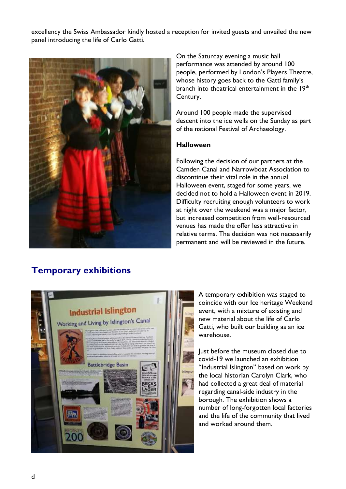excellency the Swiss Ambassador kindly hosted a reception for invited guests and unveiled the new panel introducing the life of Carlo Gatti.



On the Saturday evening a music hall performance was attended by around 100 people, performed by London's Players Theatre, whose history goes back to the Gatti family's branch into theatrical entertainment in the 19<sup>th</sup> Century.

Around 100 people made the supervised descent into the ice wells on the Sunday as part of the national Festival of Archaeology.

#### **Halloween**

Following the decision of our partners at the Camden Canal and Narrowboat Association to discontinue their vital role in the annual Halloween event, staged for some years, we decided not to hold a Halloween event in 2019. Difficulty recruiting enough volunteers to work at night over the weekend was a major factor, but increased competition from well-resourced venues has made the offer less attractive in relative terms. The decision was not necessarily permanent and will be reviewed in the future.

# **Temporary exhibitions**



A temporary exhibition was staged to coincide with our Ice heritage Weekend event, with a mixture of existing and new material about the life of Carlo Gatti, who built our building as an ice warehouse.

Just before the museum closed due to covid-19 we launched an exhibition "Industrial Islington" based on work by the local historian Carolyn Clark, who had collected a great deal of material regarding canal-side industry in the borough. The exhibition shows a number of long-forgotten local factories and the life of the community that lived and worked around them.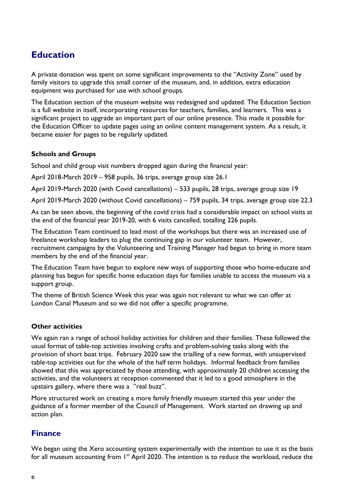# **Education**

A private donation was spent on some significant improvements to the "Activity Zone" used by family visitors to upgrade this small corner of the museum, and, in addition, extra education equipment was purchased for use with school groups.

The Education section of the museum website was redesigned and updated. The Education Section is a full website in itself, incorporating resources for teachers, families, and learners. This was a significant project to upgrade an important part of our online presence. This made it possible for the Education Officer to update pages using an online content management system. As a result, it became easier for pages to be regularly updated.

### **Schools and Groups**

School and child group visit numbers dropped again during the financial year:

April 2018-March 2019 – 958 pupils, 36 trips, average group size 26.1

April 2019-March 2020 (with Covid cancellations) – 533 pupils, 28 trips, average group size 19

April 2019-March 2020 (without Covid cancellations) – 759 pupils, 34 trips, average group size 22.3

As can be seen above, the beginning of the covid crisis had a considerable impact on school visits at the end of the financial year 2019-20, with 6 visits cancelled, totalling 226 pupils.

The Education Team continued to lead most of the workshops but there was an increased use of freelance workshop leaders to plug the continuing gap in our volunteer team. However, recruitment campaigns by the Volunteering and Training Manager had begun to bring in more team members by the end of the financial year.

The Education Team have begun to explore new ways of supporting those who home-educate and planning has begun for specific home education days for families unable to access the museum via a support group.

The theme of British Science Week this year was again not relevant to what we can offer at London Canal Museum and so we did not offer a specific programme.

### **Other activities**

We again ran a range of school holiday activities for children and their families. These followed the usual format of table-top activities involving crafts and problem-solving tasks along with the provision of short boat trips. February 2020 saw the trialling of a new format, with unsupervised table-top activities out for the whole of the half term holidays. Informal feedback from families showed that this was appreciated by those attending, with approximately 20 children accessing the activities, and the volunteers at reception commented that it led to a good atmosphere in the upstairs gallery, where there was a "real buzz".

More structured work on creating a more family friendly museum started this year under the guidance of a former member of the Council of Management. Work started on drawing up and action plan.

### **Finance**

We began using the Xero accounting system experimentally with the intention to use it as the basis for all museum accounting from 1<sup>st</sup> April 2020. The intention is to reduce the workload, reduce the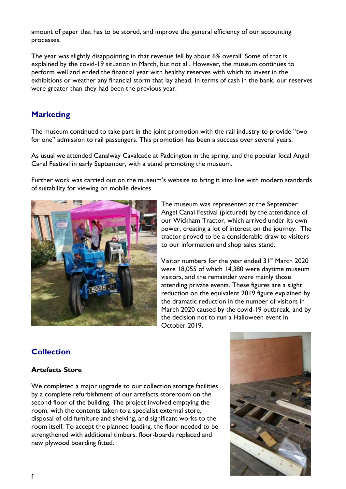amount of paper that has to be stored, and improve the general efficiency of our accounting processes.

The year was slightly disappointing in that revenue fell by about 6% overall. Some of that is explained by the covid-19 situation in March, but not all. However, the museum continues to perform well and ended the financial year with healthy reserves with which to invest in the exhibitions or weather any financial storm that lay ahead. In terms of cash in the bank, our reserves were greater than they had been the previous year.

## **Marketing**

The museum continued to take part in the joint promotion with the rail industry to provide "two for one" admission to rail passengers. This promotion has been a success over several years.

As usual we attended Canalway Cavalcade at Paddington in the spring, and the popular local Angel Canal Festival in early September, with a stand promoting the museum.

Further work was carried out on the museum's website to bring it into line with modern standards of suitability for viewing on mobile devices.



The museum was represented at the September Angel Canal Festival (pictured) by the attendance of our Wickham Tractor, which arrived under its own power, creating a lot of interest on the journey. The tractor proved to be a considerable draw to visitors to our information and shop sales stand.

Visitor numbers for the year ended  $31<sup>st</sup>$  March 2020 were 18,055 of which 14,380 were daytime museum visitors, and the remainder were mainly those attending private events. These figures are a slight reduction on the equivalent 2019 figure explained by the dramatic reduction in the number of visitors in March 2020 caused by the covid-19 outbreak, and by the decision not to run a Halloween event in October 2019.

## **Collection**

### **Artefacts Store**

We completed a major upgrade to our collection storage facilities by a complete refurbishment of our artefacts storeroom on the second floor of the building. The project involved emptying the room, with the contents taken to a specialist external store, disposal of old furniture and shelving, and significant works to the room itself. To accept the planned loading, the floor needed to be strengthened with additional timbers, floor-boards replaced and new plywood boarding fitted.

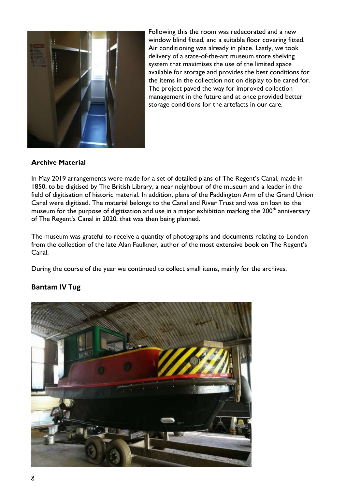

Following this the room was redecorated and a new window blind fitted, and a suitable floor covering fitted. Air conditioning was already in place. Lastly, we took delivery of a state-of-the-art museum store shelving system that maximises the use of the limited space available for storage and provides the best conditions for the items in the collection not on display to be cared for. The project paved the way for improved collection management in the future and at once provided better storage conditions for the artefacts in our care.

### **Archive Material**

In May 2019 arrangements were made for a set of detailed plans of The Regent's Canal, made in 1850, to be digitised by The British Library, a near neighbour of the museum and a leader in the field of digitisation of historic material. In addition, plans of the Paddington Arm of the Grand Union Canal were digitised. The material belongs to the Canal and River Trust and was on loan to the museum for the purpose of digitisation and use in a major exhibition marking the  $200<sup>th</sup>$  anniversary of The Regent's Canal in 2020, that was then being planned.

The museum was grateful to receive a quantity of photographs and documents relating to London from the collection of the late Alan Faulkner, author of the most extensive book on The Regent's Canal.

During the course of the year we continued to collect small items, mainly for the archives.

### **Bantam IV Tug**

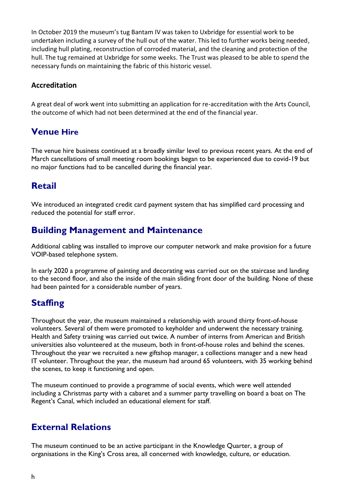In October 2019 the museum's tug Bantam IV was taken to Uxbridge for essential work to be undertaken including a survey of the hull out of the water. This led to further works being needed, including hull plating, reconstruction of corroded material, and the cleaning and protection of the hull. The tug remained at Uxbridge for some weeks. The Trust was pleased to be able to spend the necessary funds on maintaining the fabric of this historic vessel.

### **Accreditation**

A great deal of work went into submitting an application for re-accreditation with the Arts Council, the outcome of which had not been determined at the end of the financial year.

# **Venue Hire**

The venue hire business continued at a broadly similar level to previous recent years. At the end of March cancellations of small meeting room bookings began to be experienced due to covid-19 but no major functions had to be cancelled during the financial year.

# **Retail**

We introduced an integrated credit card payment system that has simplified card processing and reduced the potential for staff error.

# **Building Management and Maintenance**

Additional cabling was installed to improve our computer network and make provision for a future VOIP-based telephone system.

In early 2020 a programme of painting and decorating was carried out on the staircase and landing to the second floor, and also the inside of the main sliding front door of the building. None of these had been painted for a considerable number of years.

# **Staffing**

Throughout the year, the museum maintained a relationship with around thirty front-of-house volunteers. Several of them were promoted to keyholder and underwent the necessary training. Health and Safety training was carried out twice. A number of interns from American and British universities also volunteered at the museum, both in front-of-house roles and behind the scenes. Throughout the year we recruited a new giftshop manager, a collections manager and a new head IT volunteer. Throughout the year, the museum had around 65 volunteers, with 35 working behind the scenes, to keep it functioning and open.

The museum continued to provide a programme of social events, which were well attended including a Christmas party with a cabaret and a summer party travelling on board a boat on The Regent's Canal, which included an educational element for staff.

# **External Relations**

The museum continued to be an active participant in the Knowledge Quarter, a group of organisations in the King's Cross area, all concerned with knowledge, culture, or education.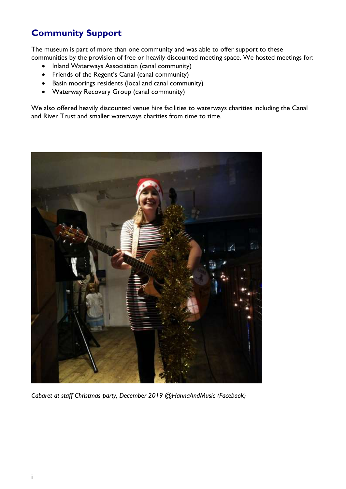# **Community Support**

The museum is part of more than one community and was able to offer support to these communities by the provision of free or heavily discounted meeting space. We hosted meetings for:

- Inland Waterways Association (canal community)
- Friends of the Regent's Canal (canal community)
- Basin moorings residents (local and canal community)
- Waterway Recovery Group (canal community)

We also offered heavily discounted venue hire facilities to waterways charities including the Canal and River Trust and smaller waterways charities from time to time.



*Cabaret at staff Christmas party, December 2019 @HannaAndMusic (Facebook)*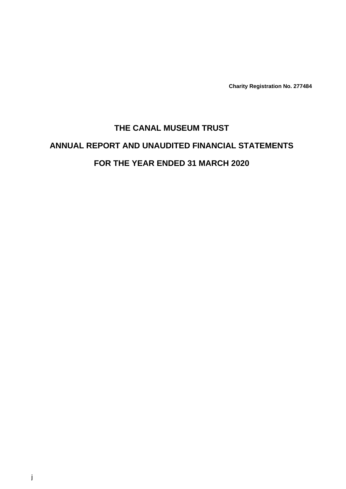**Charity Registration No. 277484**

# **THE CANAL MUSEUM TRUST ANNUAL REPORT AND UNAUDITED FINANCIAL STATEMENTS FOR THE YEAR ENDED 31 MARCH 2020**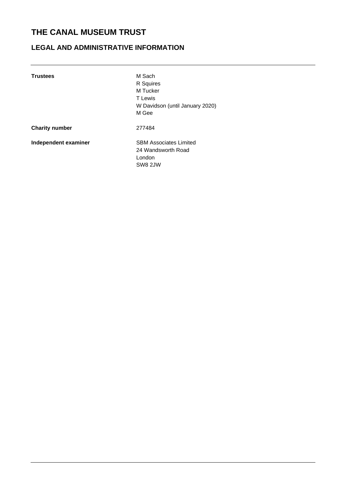# **LEGAL AND ADMINISTRATIVE INFORMATION**

| <b>Trustees</b>       | M Sach<br>R Squires<br>M Tucker<br><b>T</b> Lewis<br>W Davidson (until January 2020)<br>M Gee |
|-----------------------|-----------------------------------------------------------------------------------------------|
| <b>Charity number</b> | 277484                                                                                        |
| Independent examiner  | <b>SBM Associates Limited</b><br>24 Wandsworth Road<br>London<br>SW8 2JW                      |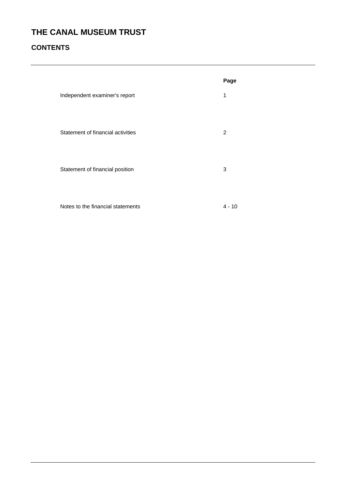# **CONTENTS**

|                                   | Page         |
|-----------------------------------|--------------|
| Independent examiner's report     | $\mathbf{1}$ |
| Statement of financial activities | 2            |
| Statement of financial position   | 3            |
| Notes to the financial statements | $4 - 10$     |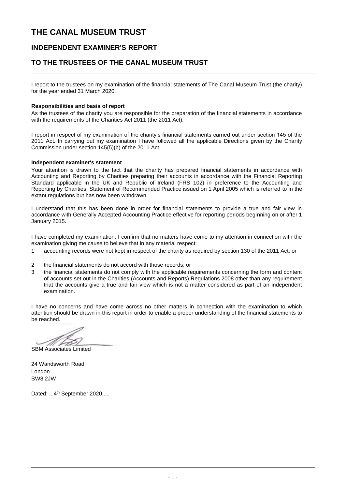### **INDEPENDENT EXAMINER'S REPORT**

### **TO THE TRUSTEES OF THE CANAL MUSEUM TRUST**

I report to the trustees on my examination of the financial statements of The Canal Museum Trust (the charity) for the year ended 31 March 2020.

#### **Responsibilities and basis of report**

As the trustees of the charity you are responsible for the preparation of the financial statements in accordance with the requirements of the Charities Act 2011 (the 2011 Act).

I report in respect of my examination of the charity's financial statements carried out under section 145 of the 2011 Act. In carrying out my examination I have followed all the applicable Directions given by the Charity Commission under section 145(5)(b) of the 2011 Act.

#### **Independent examiner's statement**

Your attention is drawn to the fact that the charity has prepared financial statements in accordance with Accounting and Reporting by Charities preparing their accounts in accordance with the Financial Reporting Standard applicable in the UK and Republic of Ireland (FRS 102) in preference to the Accounting and Reporting by Charities: Statement of Recommended Practice issued on 1 April 2005 which is referred to in the extant regulations but has now been withdrawn.

I understand that this has been done in order for financial statements to provide a true and fair view in accordance with Generally Accepted Accounting Practice effective for reporting periods beginning on or after 1 January 2015.

I have completed my examination. I confirm that no matters have come to my attention in connection with the examination giving me cause to believe that in any material respect:

- 1 accounting records were not kept in respect of the charity as required by section 130 of the 2011 Act; or
- 2 the financial statements do not accord with those records; or
- 3 the financial statements do not comply with the applicable requirements concerning the form and content of accounts set out in the Charities (Accounts and Reports) Regulations 2008 other than any requirement that the accounts give a true and fair view which is not a matter considered as part of an independent examination.

I have no concerns and have come across no other matters in connection with the examination to which attention should be drawn in this report in order to enable a proper understanding of the financial statements to be reached.

SBM Associates Limited

24 Wandsworth Road London SW8 2JW

Dated: ... 4<sup>th</sup> September 2020.....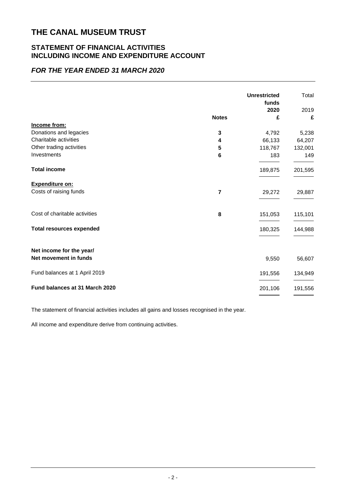### **STATEMENT OF FINANCIAL ACTIVITIES INCLUDING INCOME AND EXPENDITURE ACCOUNT**

### *FOR THE YEAR ENDED 31 MARCH 2020*

|              | <b>Unrestricted</b><br>funds | Total   |
|--------------|------------------------------|---------|
|              | 2020                         | 2019    |
| <b>Notes</b> | £                            | £       |
|              |                              |         |
| 3            | 4,792                        | 5,238   |
| 4            | 66,133                       | 64,207  |
| 5            | 118,767                      | 132,001 |
| 6            | 183                          | 149     |
|              | 189,875                      | 201,595 |
|              |                              |         |
| 7            | 29,272                       | 29,887  |
| 8            | 151,053                      | 115,101 |
|              | 180,325                      | 144,988 |
|              |                              |         |
|              | 9,550                        | 56,607  |
|              | 191,556                      | 134,949 |
|              | 201,106                      | 191,556 |
|              |                              |         |

The statement of financial activities includes all gains and losses recognised in the year.

All income and expenditure derive from continuing activities.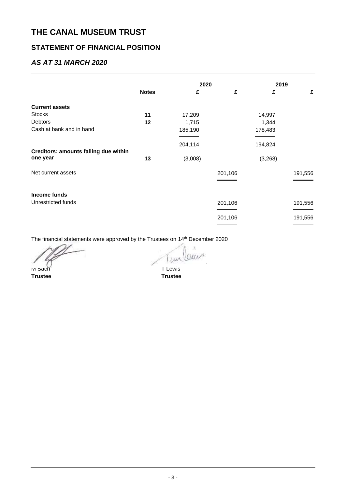## **STATEMENT OF FINANCIAL POSITION**

### *AS AT 31 MARCH 2020*

|                                       |              | 2020    |         | 2019    |         |
|---------------------------------------|--------------|---------|---------|---------|---------|
|                                       | <b>Notes</b> | £       | £       | £       | £       |
| <b>Current assets</b>                 |              |         |         |         |         |
| <b>Stocks</b>                         | 11           | 17,209  |         | 14,997  |         |
| Debtors                               | 12           | 1,715   |         | 1,344   |         |
| Cash at bank and in hand              |              | 185,190 |         | 178,483 |         |
|                                       |              | 204,114 |         | 194,824 |         |
| Creditors: amounts falling due within |              |         |         |         |         |
| one year                              | 13           | (3,008) |         | (3,268) |         |
| Net current assets                    |              |         | 201,106 |         | 191,556 |
|                                       |              |         |         |         |         |
| Income funds                          |              |         |         |         |         |
| Unrestricted funds                    |              |         | 201,106 |         | 191,556 |
|                                       |              |         | 201,106 |         | 191,556 |
|                                       |              |         |         |         |         |

The financial statements were approved by the Trustees on 14<sup>th</sup> December 2020

 $\overline{1}$ M Sach T Lewis

**Trustee Trustee**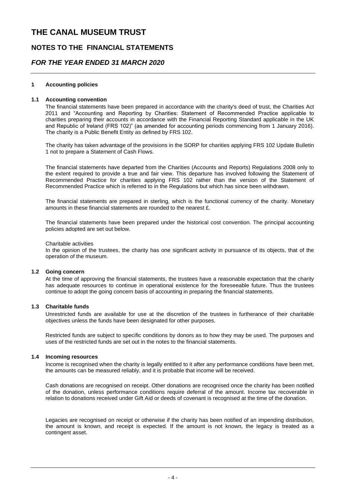### **NOTES TO THE FINANCIAL STATEMENTS**

### *FOR THE YEAR ENDED 31 MARCH 2020*

#### **1 Accounting policies**

#### **1.1 Accounting convention**

The financial statements have been prepared in accordance with the charity's deed of trust, the Charities Act 2011 and "Accounting and Reporting by Charities: Statement of Recommended Practice applicable to charities preparing their accounts in accordance with the Financial Reporting Standard applicable in the UK and Republic of Ireland (FRS 102)" (as amended for accounting periods commencing from 1 January 2016). The charity is a Public Benefit Entity as defined by FRS 102.

The charity has taken advantage of the provisions in the SORP for charities applying FRS 102 Update Bulletin 1 not to prepare a Statement of Cash Flows.

The financial statements have departed from the Charities (Accounts and Reports) Regulations 2008 only to the extent required to provide a true and fair view. This departure has involved following the Statement of Recommended Practice for charities applying FRS 102 rather than the version of the Statement of Recommended Practice which is referred to in the Regulations but which has since been withdrawn.

The financial statements are prepared in sterling, which is the functional currency of the charity. Monetary amounts in these financial statements are rounded to the nearest £.

The financial statements have been prepared under the historical cost convention. The principal accounting policies adopted are set out below.

#### Charitable activities

In the opinion of the trustees, the charity has one significant activity in pursuance of its objects, that of the operation of the museum.

#### **1.2 Going concern**

At the time of approving the financial statements, the trustees have a reasonable expectation that the charity has adequate resources to continue in operational existence for the foreseeable future. Thus the trustees continue to adopt the going concern basis of accounting in preparing the financial statements.

#### **1.3 Charitable funds**

Unrestricted funds are available for use at the discretion of the trustees in furtherance of their charitable objectives unless the funds have been designated for other purposes.

Restricted funds are subject to specific conditions by donors as to how they may be used. The purposes and uses of the restricted funds are set out in the notes to the financial statements.

#### **1.4 Incoming resources**

Income is recognised when the charity is legally entitled to it after any performance conditions have been met, the amounts can be measured reliably, and it is probable that income will be received.

Cash donations are recognised on receipt. Other donations are recognised once the charity has been notified of the donation, unless performance conditions require deferral of the amount. Income tax recoverable in relation to donations received under Gift Aid or deeds of covenant is recognised at the time of the donation.

Legacies are recognised on receipt or otherwise if the charity has been notified of an impending distribution, the amount is known, and receipt is expected. If the amount is not known, the legacy is treated as a contingent asset.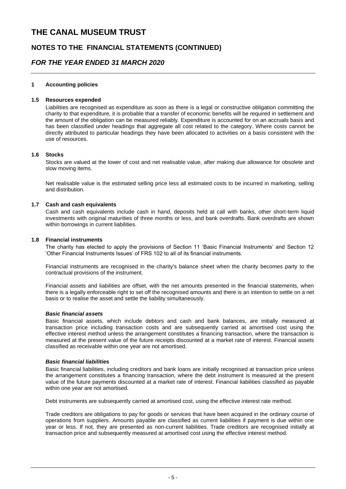### **NOTES TO THE FINANCIAL STATEMENTS (CONTINUED)**

### *FOR THE YEAR ENDED 31 MARCH 2020*

#### **1 Accounting policies**

#### **1.5 Resources expended**

Liabilities are recognised as expenditure as soon as there is a legal or constructive obligation committing the charity to that expenditure, it is probable that a transfer of economic benefits will be required in settlement and the amount of the obligation can be measured reliably. Expenditure is accounted for on an accruals basis and has been classified under headings that aggregate all cost related to the category. Where costs cannot be directly attributed to particular headings they have been allocated to activities on a basis consistent with the use of resources.

#### **1.6 Stocks**

Stocks are valued at the lower of cost and net realisable value, after making due allowance for obsolete and slow moving items.

Net realisable value is the estimated selling price less all estimated costs to be incurred in marketing, selling and distribution.

#### **1.7 Cash and cash equivalents**

Cash and cash equivalents include cash in hand, deposits held at call with banks, other short-term liquid investments with original maturities of three months or less, and bank overdrafts. Bank overdrafts are shown within borrowings in current liabilities.

#### **1.8 Financial instruments**

The charity has elected to apply the provisions of Section 11 'Basic Financial Instruments' and Section 12 'Other Financial Instruments Issues' of FRS 102 to all of its financial instruments.

Financial instruments are recognised in the charity's balance sheet when the charity becomes party to the contractual provisions of the instrument.

Financial assets and liabilities are offset, with the net amounts presented in the financial statements, when there is a legally enforceable right to set off the recognised amounts and there is an intention to settle on a net basis or to realise the asset and settle the liability simultaneously.

#### *Basic financial assets*

Basic financial assets, which include debtors and cash and bank balances, are initially measured at transaction price including transaction costs and are subsequently carried at amortised cost using the effective interest method unless the arrangement constitutes a financing transaction, where the transaction is measured at the present value of the future receipts discounted at a market rate of interest. Financial assets classified as receivable within one year are not amortised.

#### *Basic financial liabilities*

Basic financial liabilities, including creditors and bank loans are initially recognised at transaction price unless the arrangement constitutes a financing transaction, where the debt instrument is measured at the present value of the future payments discounted at a market rate of interest. Financial liabilities classified as payable within one year are not amortised.

Debt instruments are subsequently carried at amortised cost, using the effective interest rate method.

Trade creditors are obligations to pay for goods or services that have been acquired in the ordinary course of operations from suppliers. Amounts payable are classified as current liabilities if payment is due within one year or less. If not, they are presented as non-current liabilities. Trade creditors are recognised initially at transaction price and subsequently measured at amortised cost using the effective interest method.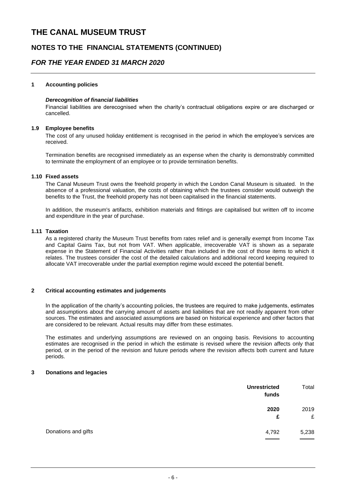### **NOTES TO THE FINANCIAL STATEMENTS (CONTINUED)**

### *FOR THE YEAR ENDED 31 MARCH 2020*

#### **1 Accounting policies**

#### *Derecognition of financial liabilities*

Financial liabilities are derecognised when the charity's contractual obligations expire or are discharged or cancelled.

#### **1.9 Employee benefits**

The cost of any unused holiday entitlement is recognised in the period in which the employee's services are received.

Termination benefits are recognised immediately as an expense when the charity is demonstrably committed to terminate the employment of an employee or to provide termination benefits.

#### **1.10 Fixed assets**

The Canal Museum Trust owns the freehold property in which the London Canal Museum is situated. In the absence of a professional valuation, the costs of obtaining which the trustees consider would outweigh the benefits to the Trust, the freehold property has not been capitalised in the financial statements.

In addition, the museum's artifacts, exhibition materials and fittings are capitalised but written off to income and expenditure in the year of purchase.

#### **1.11 Taxation**

As a registered charity the Museum Trust benefits from rates relief and is generally exempt from Income Tax and Capital Gains Tax, but not from VAT. When applicable, irrecoverable VAT is shown as a separate expense in the Statement of Financial Activities rather than included in the cost of those items to which it relates. The trustees consider the cost of the detailed calculations and additional record keeping required to allocate VAT irrecoverable under the partial exemption regime would exceed the potential benefit.

#### **2 Critical accounting estimates and judgements**

In the application of the charity's accounting policies, the trustees are required to make judgements, estimates and assumptions about the carrying amount of assets and liabilities that are not readily apparent from other sources. The estimates and associated assumptions are based on historical experience and other factors that are considered to be relevant. Actual results may differ from these estimates.

The estimates and underlying assumptions are reviewed on an ongoing basis. Revisions to accounting estimates are recognised in the period in which the estimate is revised where the revision affects only that period, or in the period of the revision and future periods where the revision affects both current and future periods.

#### **3 Donations and legacies**

| <b>Unrestricted</b><br>funds | Total          |
|------------------------------|----------------|
| 2020                         | 2019<br>£<br>£ |
| Donations and gifts<br>4,792 | 5,238          |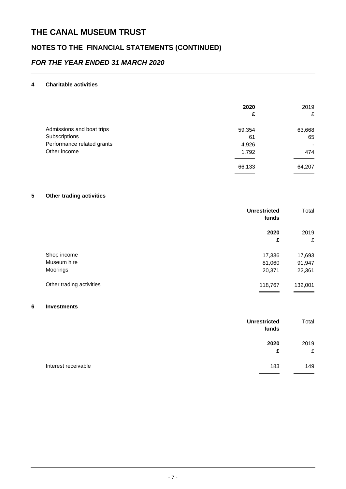# **NOTES TO THE FINANCIAL STATEMENTS (CONTINUED)**

## *FOR THE YEAR ENDED 31 MARCH 2020*

#### **4 Charitable activities**

|                            | 2020<br>£ | 2019<br>£ |
|----------------------------|-----------|-----------|
| Admissions and boat trips  | 59,354    | 63,668    |
| Subscriptions              | 61        | 65        |
| Performance related grants | 4,926     | $\,$      |
| Other income               | 1,792     | 474       |
|                            | 66,133    | 64,207    |

#### **5 Other trading activities**

|                          | <b>Unrestricted</b><br>funds | Total   |
|--------------------------|------------------------------|---------|
|                          | 2020                         | 2019    |
|                          | £                            | £       |
| Shop income              | 17,336                       | 17,693  |
| Museum hire              | 81,060                       | 91,947  |
| Moorings                 | 20,371                       | 22,361  |
| Other trading activities | 118,767                      | 132,001 |

#### **6 Investments**

| <b>Unrestricted</b><br>funds | Total     |
|------------------------------|-----------|
| 2020<br>£                    | 2019<br>£ |
| Interest receivable<br>183   | 149       |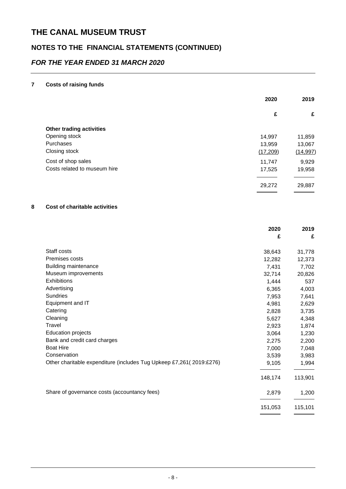# **NOTES TO THE FINANCIAL STATEMENTS (CONTINUED)**

## *FOR THE YEAR ENDED 31 MARCH 2020*

#### **7 Costs of raising funds**

|                              | 2020     | 2019      |
|------------------------------|----------|-----------|
|                              | £        | £         |
| Other trading activities     |          |           |
| Opening stock                | 14,997   | 11,859    |
| Purchases                    | 13,959   | 13,067    |
| Closing stock                | (17,209) | (14, 997) |
| Cost of shop sales           | 11,747   | 9,929     |
| Costs related to museum hire | 17,525   | 19,958    |
|                              | 29,272   | 29,887    |

#### **8 Cost of charitable activities**

|                                                                     | 2020<br>£ | 2019<br>£ |
|---------------------------------------------------------------------|-----------|-----------|
|                                                                     |           |           |
| Staff costs                                                         | 38,643    | 31,778    |
| Premises costs                                                      | 12,282    | 12,373    |
| <b>Building maintenance</b>                                         | 7,431     | 7,702     |
| Museum improvements                                                 | 32,714    | 20,826    |
| <b>Exhibitions</b>                                                  | 1,444     | 537       |
| Advertising                                                         | 6,365     | 4,003     |
| Sundries                                                            | 7,953     | 7,641     |
| Equipment and IT                                                    | 4,981     | 2,629     |
| Catering                                                            | 2,828     | 3,735     |
| Cleaning                                                            | 5,627     | 4,348     |
| Travel                                                              | 2,923     | 1,874     |
| <b>Education projects</b>                                           | 3,064     | 1,230     |
| Bank and credit card charges                                        | 2,275     | 2,200     |
| <b>Boat Hire</b>                                                    | 7,000     | 7,048     |
| Conservation                                                        | 3,539     | 3,983     |
| Other charitable expenditure (includes Tug Upkeep £7,261(2019:£276) | 9,105     | 1,994     |
|                                                                     | 148,174   | 113,901   |
| Share of governance costs (accountancy fees)                        | 2,879     | 1,200     |
|                                                                     | 151,053   | 115,101   |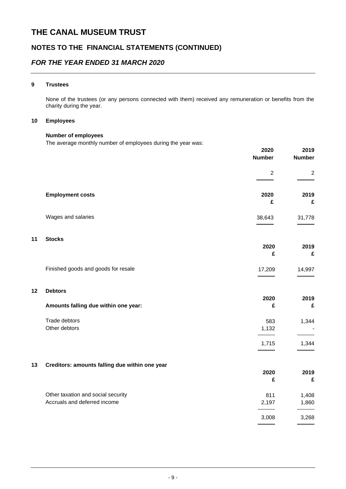### **NOTES TO THE FINANCIAL STATEMENTS (CONTINUED)**

### *FOR THE YEAR ENDED 31 MARCH 2020*

#### **9 Trustees**

None of the trustees (or any persons connected with them) received any remuneration or benefits from the charity during the year.

#### **10 Employees**

#### **Number of employees**

The average monthly number of employees during the year was:

|    |                                                                    | 2020<br><b>Number</b> | 2019<br><b>Number</b> |
|----|--------------------------------------------------------------------|-----------------------|-----------------------|
|    |                                                                    | $\overline{2}$        | $\boldsymbol{2}$      |
|    | <b>Employment costs</b>                                            | 2020<br>£             | 2019<br>£             |
|    | Wages and salaries                                                 | 38,643                | 31,778                |
| 11 | <b>Stocks</b>                                                      | 2020<br>£             | 2019<br>£             |
|    | Finished goods and goods for resale                                | 17,209                | 14,997                |
| 12 | <b>Debtors</b>                                                     |                       |                       |
|    | Amounts falling due within one year:                               | 2020<br>£             | 2019<br>£             |
|    | Trade debtors<br>Other debtors                                     | 583<br>1,132          | 1,344                 |
|    |                                                                    | 1,715                 | 1,344                 |
| 13 | Creditors: amounts falling due within one year                     | 2020<br>£             | 2019<br>£             |
|    | Other taxation and social security<br>Accruals and deferred income | 811<br>2,197          | 1,408<br>1,860        |
|    |                                                                    | 3,008                 | 3,268                 |